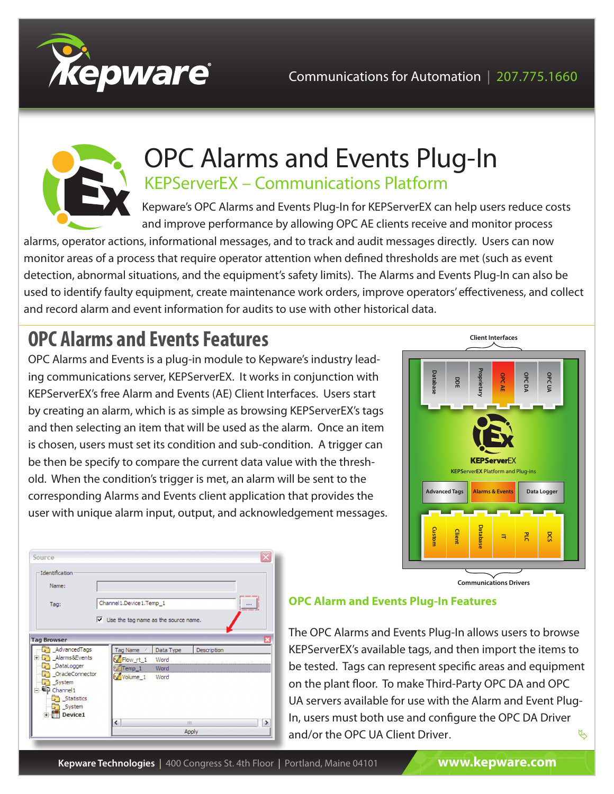



# OPC Alarms and Events Plug-In KEPServerEX – Communications Platform

Kepware's OPC Alarms and Events Plug-In for KEPServerEX can help users reduce costs and improve performance by allowing OPC AE clients receive and monitor process

alarms, operator actions, informational messages, and to track and audit messages directly. Users can now monitor areas of a process that require operator attention when defined thresholds are met (such as event detection, abnormal situations, and the equipment's safety limits). The Alarms and Events Plug-In can also be used to identify faulty equipment, create maintenance work orders, improve operators' effectiveness, and collect and record alarm and event information for audits to use with other historical data.

# **OPC Alarms and Events Features**

OPC Alarms and Events is a plug-in module to Kepware's industry leading communications server, KEPServerEX. It works in conjunction with KEPServerEX's free Alarm and Events (AE) Client Interfaces. Users start by creating an alarm, which is as simple as browsing KEPServerEX's tags and then selecting an item that will be used as the alarm. Once an item is chosen, users must set its condition and sub-condition. A trigger can be then be specify to compare the current data value with the threshold. When the condition's trigger is met, an alarm will be sent to the corresponding Alarms and Events client application that provides the user with unique alarm input, output, and acknowledgement messages.



**Communications Drivers**

| Source                                                                                                                                                     |                                                                                                                                    |  |  |  |  |
|------------------------------------------------------------------------------------------------------------------------------------------------------------|------------------------------------------------------------------------------------------------------------------------------------|--|--|--|--|
| Identification<br>Name:<br>Tag:                                                                                                                            | Channel 1. Device 1. Temp 1                                                                                                        |  |  |  |  |
| $\nabla$ Use the tag name as the source name.<br><b>Tag Browser</b>                                                                                        |                                                                                                                                    |  |  |  |  |
| AdvancedTags<br>Alarms&Events<br>$\overline{+}$<br>DataLogger<br>OracleConnector<br>System<br>Channel <sub>1</sub><br>Statistics<br>System<br>Device1<br>Ĥ | Tag Name<br>Description<br>Data Type<br>Flow_rt_1<br>Word<br>Temp_1<br>Word<br>Volume <sub>1</sub><br>Word<br>←<br>٠<br>Ш<br>Apply |  |  |  |  |

#### **OPC Alarm and Events Plug-In Features**

 $\mathfrak{B}$ The OPC Alarms and Events Plug-In allows users to browse KEPServerEX's available tags, and then import the items to be tested. Tags can represent specific areas and equipment on the plant floor. To make Third-Party OPC DA and OPC UA servers available for use with the Alarm and Event Plug-In, users must both use and configure the OPC DA Driver and/or the OPC UA Client Driver.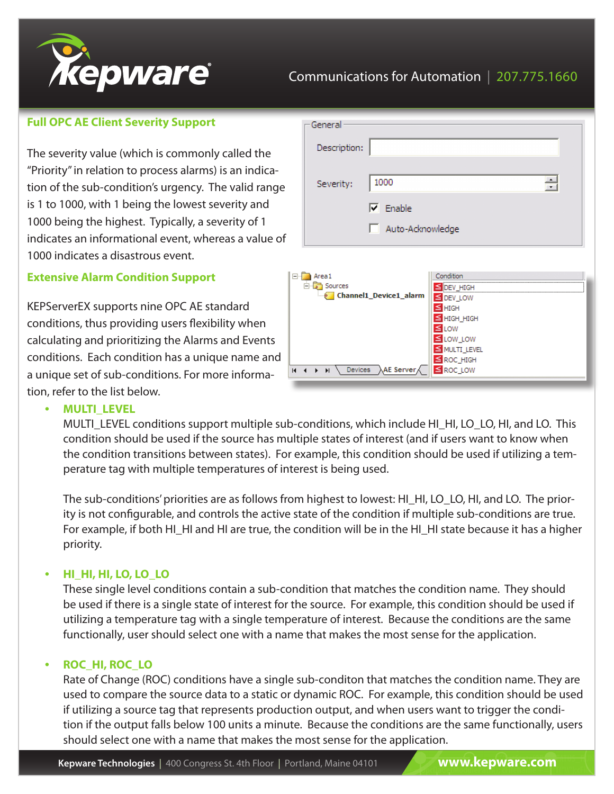

### Communications for Automation | 207.775.1660

#### **Full OPC AE Client Severity Support**

The severity value (which is commonly called the "Priority" in relation to process alarms) is an indication of the sub-condition's urgency. The valid range is 1 to 1000, with 1 being the lowest severity and 1000 being the highest. Typically, a severity of 1 indicates an informational event, whereas a value of 1000 indicates a disastrous event.

#### **Extensive Alarm Condition Support**

KEPServerEX supports nine OPC AE standard conditions, thus providing users flexibility when calculating and prioritizing the Alarms and Events conditions. Each condition has a unique name and a unique set of sub-conditions. For more information, refer to the list below.

|                                            | General          |                                       |                                 |        |  |  |
|--------------------------------------------|------------------|---------------------------------------|---------------------------------|--------|--|--|
|                                            | Description:     |                                       |                                 |        |  |  |
|                                            | Severity:        | 1000                                  |                                 | $\div$ |  |  |
|                                            |                  | $\nabla$ Enable                       |                                 |        |  |  |
|                                            | Auto-Acknowledge |                                       |                                 |        |  |  |
|                                            |                  |                                       |                                 |        |  |  |
| Area1                                      |                  |                                       | Condition                       |        |  |  |
| <b>B</b> Sources<br>Channel1_Device1_alarm |                  |                                       | S DEV_HIGH                      |        |  |  |
|                                            |                  |                                       | DEV_LOW<br>≤                    |        |  |  |
|                                            |                  |                                       | $\leq$ HIGH<br>$\leq$ HIGH HIGH |        |  |  |
|                                            |                  |                                       | ≤LOW                            |        |  |  |
|                                            |                  |                                       | ≤ LOW_LOW                       |        |  |  |
|                                            |                  |                                       | MULTI_LEVEL                     |        |  |  |
| $\blacksquare$                             | H.               | Devices $\lambda$ AE Server $\lambda$ | ≤ ROC_HIGH<br>≤ ROC_LOW         |        |  |  |

#### **• MULTI\_LEVEL**

MULTI\_LEVEL conditions support multiple sub-conditions, which include HI\_HI, LO\_LO, HI, and LO. This condition should be used if the source has multiple states of interest (and if users want to know when the condition transitions between states). For example, this condition should be used if utilizing a temperature tag with multiple temperatures of interest is being used.

The sub-conditions' priorities are as follows from highest to lowest: HI\_HI, LO\_LO, HI, and LO. The priority is not configurable, and controls the active state of the condition if multiple sub-conditions are true. For example, if both HI\_HI and HI are true, the condition will be in the HI\_HI state because it has a higher priority.

#### **• HI\_HI, HI, LO, LO\_LO**

These single level conditions contain a sub-condition that matches the condition name. They should be used if there is a single state of interest for the source. For example, this condition should be used if utilizing a temperature tag with a single temperature of interest. Because the conditions are the same functionally, user should select one with a name that makes the most sense for the application.

#### **ROC\_HI, ROC\_LO**

Rate of Change (ROC) conditions have a single sub-conditon that matches the condition name. They are used to compare the source data to a static or dynamic ROC. For example, this condition should be used if utilizing a source tag that represents production output, and when users want to trigger the condition if the output falls below 100 units a minute. Because the conditions are the same functionally, users should select one with a name that makes the most sense for the application.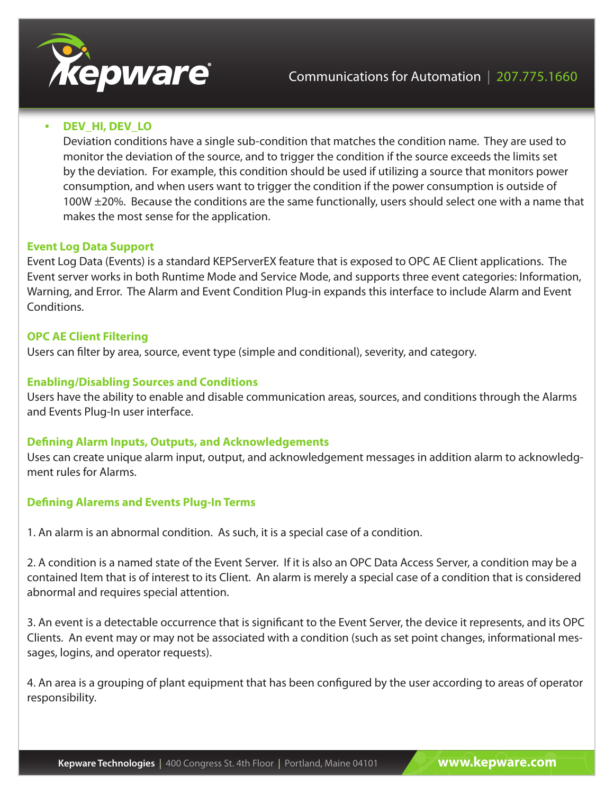

#### **DEV\_HI, DEV\_LO**

Deviation conditions have a single sub-condition that matches the condition name. They are used to monitor the deviation of the source, and to trigger the condition if the source exceeds the limits set by the deviation. For example, this condition should be used if utilizing a source that monitors power consumption, and when users want to trigger the condition if the power consumption is outside of 100W ±20%. Because the conditions are the same functionally, users should select one with a name that makes the most sense for the application.

#### **Event Log Data Support**

Event Log Data (Events) is a standard KEPServerEX feature that is exposed to OPC AE Client applications. The Event server works in both Runtime Mode and Service Mode, and supports three event categories: Information, Warning, and Error. The Alarm and Event Condition Plug-in expands this interface to include Alarm and Event Conditions.

#### **OPC AE Client Filtering**

Users can filter by area, source, event type (simple and conditional), severity, and category.

#### **Enabling/Disabling Sources and Conditions**

Users have the ability to enable and disable communication areas, sources, and conditions through the Alarms and Events Plug-In user interface.

#### **Defining Alarm Inputs, Outputs, and Acknowledgements**

Uses can create unique alarm input, output, and acknowledgement messages in addition alarm to acknowledgment rules for Alarms.

#### **Defining Alarems and Events Plug-In Terms**

1. An alarm is an abnormal condition. As such, it is a special case of a condition.

2. A condition is a named state of the Event Server. If it is also an OPC Data Access Server, a condition may be a contained Item that is of interest to its Client. An alarm is merely a special case of a condition that is considered abnormal and requires special attention.

3. An event is a detectable occurrence that is significant to the Event Server, the device it represents, and its OPC Clients. An event may or may not be associated with a condition (such as set point changes, informational messages, logins, and operator requests).

4. An area is a grouping of plant equipment that has been configured by the user according to areas of operator responsibility.